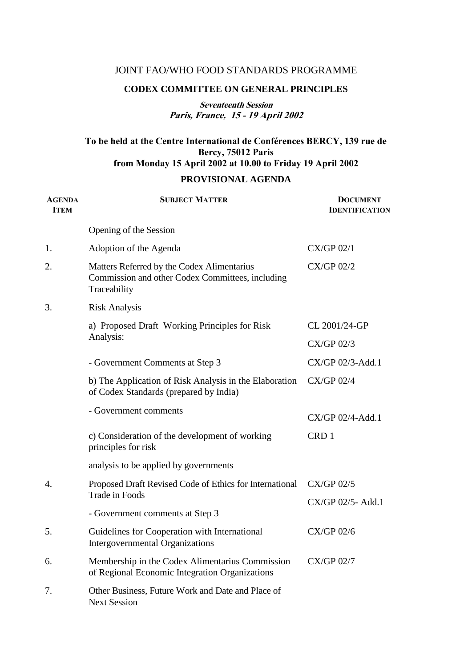# JOINT FAO/WHO FOOD STANDARDS PROGRAMME

### **CODEX COMMITTEE ON GENERAL PRINCIPLES**

# **Seventeenth Session Paris, France, 15 - 19 April 2002**

# **To be held at the Centre International de Conférences BERCY, 139 rue de Bercy, 75012 Paris from Monday 15 April 2002 at 10.00 to Friday 19 April 2002 PROVISIONAL AGENDA**

| <b>AGENDA</b><br><b>ITEM</b> | <b>SUBJECT MATTER</b>                                                                                          | <b>DOCUMENT</b><br><b>IDENTIFICATION</b> |
|------------------------------|----------------------------------------------------------------------------------------------------------------|------------------------------------------|
|                              | Opening of the Session                                                                                         |                                          |
| 1.                           | Adoption of the Agenda                                                                                         | CX/GP 02/1                               |
| 2.                           | Matters Referred by the Codex Alimentarius<br>Commission and other Codex Committees, including<br>Traceability | <b>CX/GP 02/2</b>                        |
| 3.                           | <b>Risk Analysis</b>                                                                                           |                                          |
|                              | a) Proposed Draft Working Principles for Risk<br>Analysis:                                                     | CL 2001/24-GP                            |
|                              |                                                                                                                | $CX/GP$ 02/3                             |
|                              | - Government Comments at Step 3                                                                                | CX/GP 02/3-Add.1                         |
|                              | b) The Application of Risk Analysis in the Elaboration<br>of Codex Standards (prepared by India)               | $CX/GP$ 02/4                             |
|                              | - Government comments                                                                                          | $CX/GP 02/4$ -Add.1                      |
|                              | c) Consideration of the development of working<br>principles for risk                                          | CRD 1                                    |
|                              | analysis to be applied by governments                                                                          |                                          |
| 4.                           | Proposed Draft Revised Code of Ethics for International                                                        | <b>CX/GP 02/5</b>                        |
|                              | <b>Trade in Foods</b>                                                                                          | CX/GP 02/5-Add.1                         |
|                              | - Government comments at Step 3                                                                                |                                          |
| 5.                           | Guidelines for Cooperation with International<br><b>Intergovernmental Organizations</b>                        | $CX/GP$ 02/6                             |
| 6.                           | Membership in the Codex Alimentarius Commission<br>of Regional Economic Integration Organizations              | $CX/GP$ 02/7                             |
| 7.                           | Other Business, Future Work and Date and Place of<br><b>Next Session</b>                                       |                                          |